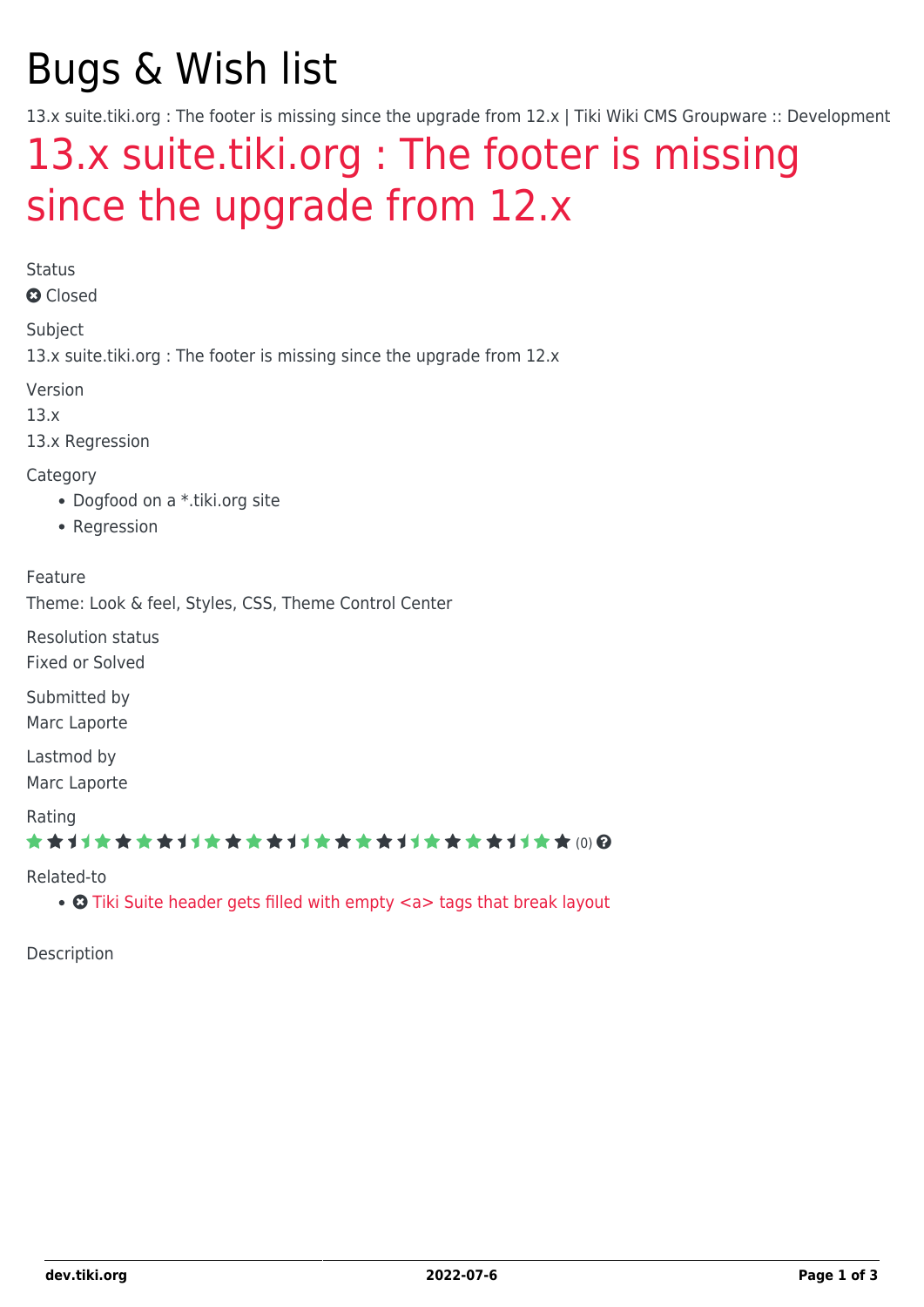# Bugs & Wish list

13.x suite.tiki.org : The footer is missing since the upgrade from 12.x | Tiki Wiki CMS Groupware :: Development

## [13.x suite.tiki.org : The footer is missing](https://dev.tiki.org/item5388-13-x-suite-tiki-org-The-footer-is-missing-since-the-upgrade-from-12-x) [since the upgrade from 12.x](https://dev.tiki.org/item5388-13-x-suite-tiki-org-The-footer-is-missing-since-the-upgrade-from-12-x)

Status

**O** Closed

Subject 13.x suite.tiki.org : The footer is missing since the upgrade from 12.x

Version

13.x

13.x Regression

Category

- Dogfood on a \*.tiki.org site
- Regression

Feature

Theme: Look & feel, Styles, CSS, Theme Control Center

Resolution status Fixed or Solved

Submitted by Marc Laporte

Lastmod by Marc Laporte

Rating

\*\*\*\*\*\*\*\*\*\*\*\*\*\*\*\*\*\*\*\*\*\*\*\*\*\*\*\*\*\*

Related-to

• **O** [Tiki Suite header gets filled with empty <a> tags that break layout](https://dev.tiki.org/item5417-Tiki-Suite-header-gets-filled-with-empty-a-tags-that-break-layout)

Description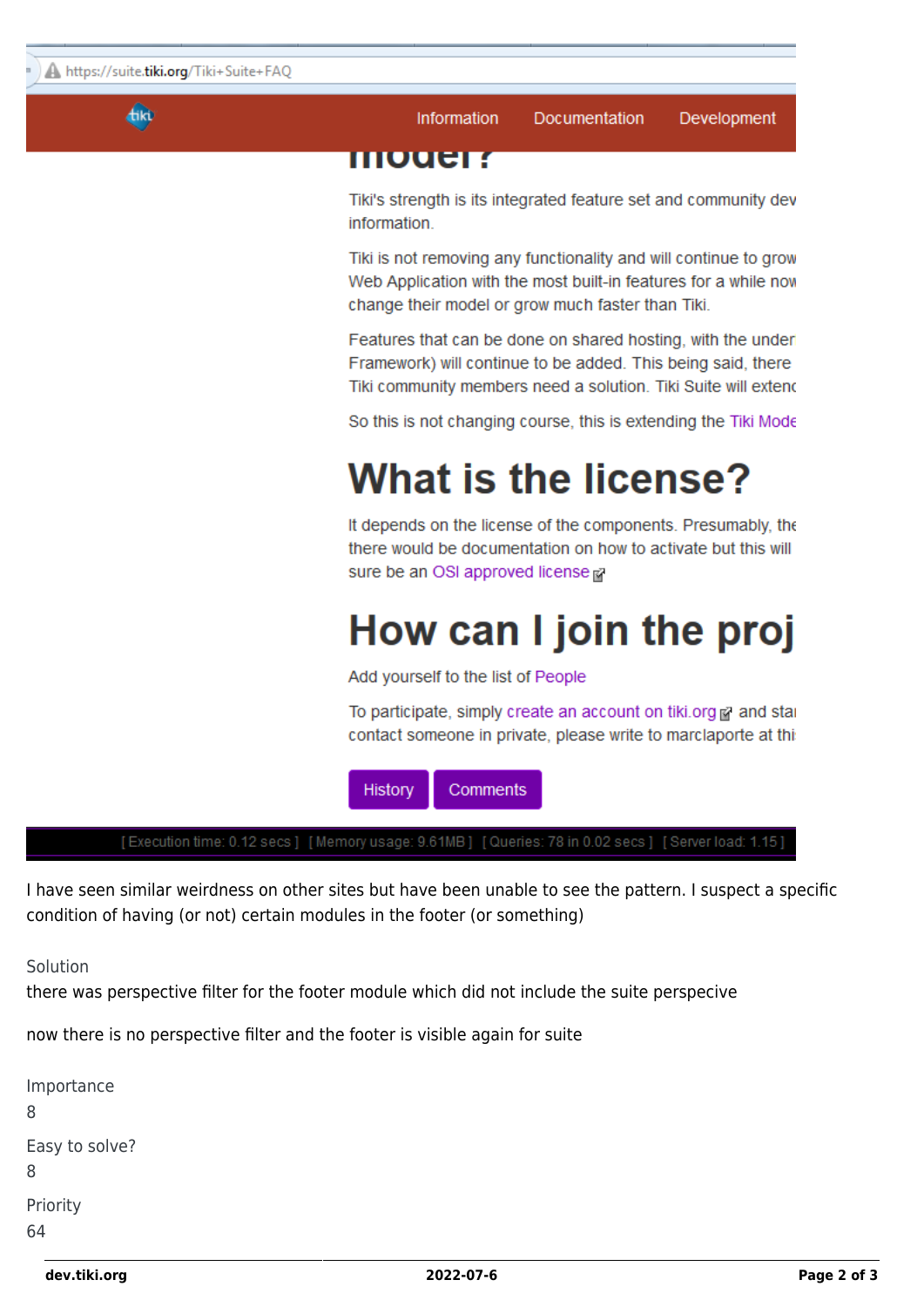**Akt** 

Information Documentation Development

#### **IIIIUuer r**

Tiki's strength is its integrated feature set and community dev information.

Tiki is not removing any functionality and will continue to grow Web Application with the most built-in features for a while now change their model or grow much faster than Tiki.

Features that can be done on shared hosting, with the under Framework) will continue to be added. This being said, there Tiki community members need a solution. Tiki Suite will extend

So this is not changing course, this is extending the Tiki Mode

### **What is the license?**

It depends on the license of the components. Presumably, the there would be documentation on how to activate but this will sure be an OSI approved license pa

## How can I join the proj

Add yourself to the list of People

To participate, simply create an account on tiki.org of and star contact someone in private, please write to marclaporte at thi



[Execution time: 0.12 secs] [Memory usage: 9.61MB] [Queries: 78 in 0.02 secs] [Server load: 1.15]

I have seen similar weirdness on other sites but have been unable to see the pattern. I suspect a specific condition of having (or not) certain modules in the footer (or something)

Solution

there was perspective filter for the footer module which did not include the suite perspecive

now there is no perspective filter and the footer is visible again for suite

| Importance          |  |
|---------------------|--|
| 8                   |  |
| Easy to solve?<br>8 |  |
| Priority            |  |
| 64                  |  |